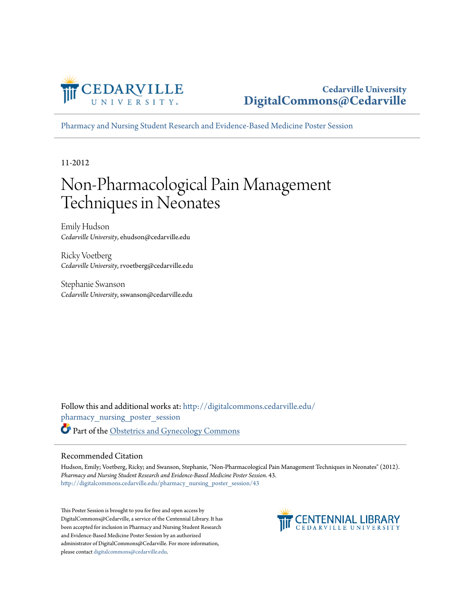

#### **Cedarville University [DigitalCommons@Cedarville](http://digitalcommons.cedarville.edu?utm_source=digitalcommons.cedarville.edu%2Fpharmacy_nursing_poster_session%2F43&utm_medium=PDF&utm_campaign=PDFCoverPages)**

[Pharmacy and Nursing Student Research and Evidence-Based Medicine Poster Session](http://digitalcommons.cedarville.edu/pharmacy_nursing_poster_session?utm_source=digitalcommons.cedarville.edu%2Fpharmacy_nursing_poster_session%2F43&utm_medium=PDF&utm_campaign=PDFCoverPages)

11-2012

#### Non-Pharmacological Pain Management Techniques in Neonates

Emily Hudson *Cedarville University*, ehudson@cedarville.edu

Ricky Voetberg *Cedarville University*, rvoetberg@cedarville.edu

Stephanie Swanson *Cedarville University*, sswanson@cedarville.edu

Follow this and additional works at: [http://digitalcommons.cedarville.edu/](http://digitalcommons.cedarville.edu/pharmacy_nursing_poster_session?utm_source=digitalcommons.cedarville.edu%2Fpharmacy_nursing_poster_session%2F43&utm_medium=PDF&utm_campaign=PDFCoverPages) [pharmacy\\_nursing\\_poster\\_session](http://digitalcommons.cedarville.edu/pharmacy_nursing_poster_session?utm_source=digitalcommons.cedarville.edu%2Fpharmacy_nursing_poster_session%2F43&utm_medium=PDF&utm_campaign=PDFCoverPages) Part of the [Obstetrics and Gynecology Commons](http://network.bepress.com/hgg/discipline/693?utm_source=digitalcommons.cedarville.edu%2Fpharmacy_nursing_poster_session%2F43&utm_medium=PDF&utm_campaign=PDFCoverPages)

#### Recommended Citation

Hudson, Emily; Voetberg, Ricky; and Swanson, Stephanie, "Non-Pharmacological Pain Management Techniques in Neonates" (2012). *Pharmacy and Nursing Student Research and Evidence-Based Medicine Poster Session*. 43. [http://digitalcommons.cedarville.edu/pharmacy\\_nursing\\_poster\\_session/43](http://digitalcommons.cedarville.edu/pharmacy_nursing_poster_session/43?utm_source=digitalcommons.cedarville.edu%2Fpharmacy_nursing_poster_session%2F43&utm_medium=PDF&utm_campaign=PDFCoverPages)

This Poster Session is brought to you for free and open access by DigitalCommons@Cedarville, a service of the Centennial Library. It has been accepted for inclusion in Pharmacy and Nursing Student Research and Evidence-Based Medicine Poster Session by an authorized administrator of DigitalCommons@Cedarville. For more information, please contact [digitalcommons@cedarville.edu.](mailto:digitalcommons@cedarville.edu)